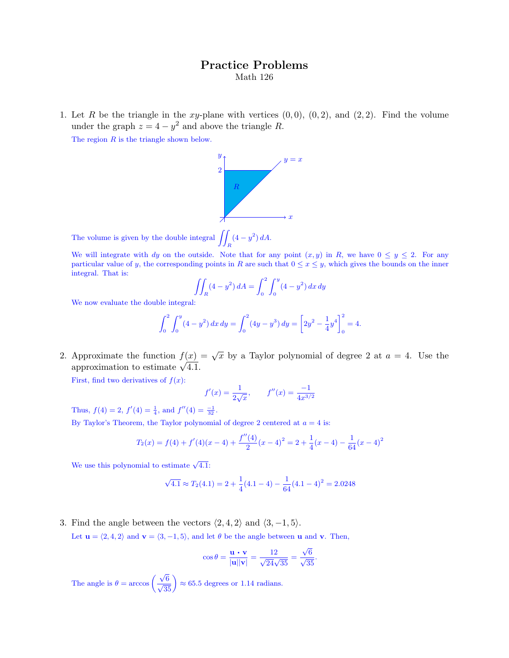## Practice Problems Math 126

1. Let R be the triangle in the xy-plane with vertices  $(0, 0)$ ,  $(0, 2)$ , and  $(2, 2)$ . Find the volume under the graph  $z = 4 - y^2$  and above the triangle R.

The region  $R$  is the triangle shown below.



The volume is given by the double integral  $\iint_R (4 - y^2) dA$ .

We will integrate with dy on the outside. Note that for any point  $(x, y)$  in R, we have  $0 \le y \le 2$ . For any particular value of y, the corresponding points in R are such that  $0 \le x \le y$ , which gives the bounds on the inner integral. That is:

$$
\iint_{R} (4 - y^2) dA = \int_0^2 \int_0^y (4 - y^2) dx dy
$$

We now evaluate the double integral:

$$
\int_0^2 \int_0^y (4 - y^2) \, dx \, dy = \int_0^2 (4y - y^3) \, dy = \left[ 2y^2 - \frac{1}{4}y^4 \right]_0^2 = 4.
$$

2. Approximate the function  $f(x) = \sqrt{x}$  by a Taylor polynomial of degree 2 at  $a = 4$ . Use the approximation to estimate  $\sqrt{4.1}$ .

First, find two derivatives of  $f(x)$ :

$$
f'(x) = \frac{1}{2\sqrt{x}},
$$
  $f''(x) = \frac{-1}{4x^{3/2}}$ 

Thus,  $f(4) = 2$ ,  $f'(4) = \frac{1}{4}$ , and  $f''(4) = \frac{-1}{32}$ .

By Taylor's Theorem, the Taylor polynomial of degree 2 centered at  $a = 4$  is:

$$
T_2(x) = f(4) + f'(4)(x - 4) + \frac{f''(4)}{2}(x - 4)^2 = 2 + \frac{1}{4}(x - 4) - \frac{1}{64}(x - 4)^2
$$

We use this polynomial to estimate  $\sqrt{4.1}$ :

$$
\sqrt{4.1} \approx T_2(4.1) = 2 + \frac{1}{4}(4.1 - 4) - \frac{1}{64}(4.1 - 4)^2 = 2.0248
$$

3. Find the angle between the vectors  $\langle 2, 4, 2 \rangle$  and  $\langle 3, -1, 5 \rangle$ .

Let  $\mathbf{u} = \langle 2, 4, 2 \rangle$  and  $\mathbf{v} = \langle 3, -1, 5 \rangle$ , and let  $\theta$  be the angle between u and v. Then,

$$
\cos \theta = \frac{\mathbf{u} \cdot \mathbf{v}}{|\mathbf{u}||\mathbf{v}|} = \frac{12}{\sqrt{24}\sqrt{35}} = \frac{\sqrt{6}}{\sqrt{35}}.
$$

The angle is  $\theta = \arccos\left(\frac{\sqrt{6}}{\sqrt{35}}\right) \approx 65.5$  degrees or 1.14 radians.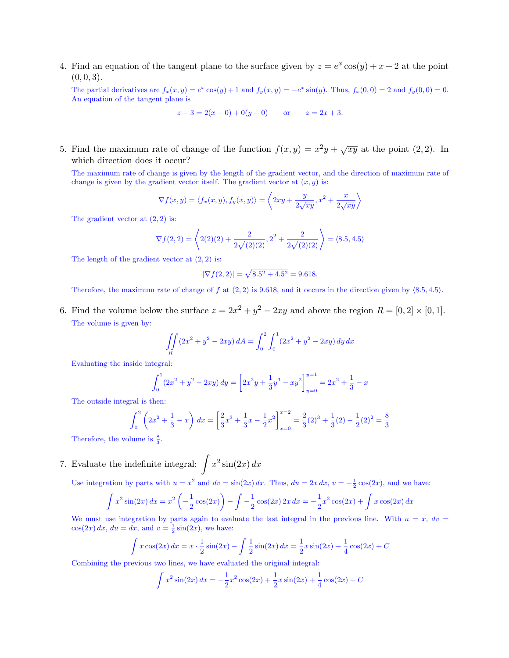4. Find an equation of the tangent plane to the surface given by  $z = e^x \cos(y) + x + 2$  at the point  $(0, 0, 3).$ 

The partial derivatives are  $f_x(x, y) = e^x \cos(y) + 1$  and  $f_y(x, y) = -e^x \sin(y)$ . Thus,  $f_x(0, 0) = 2$  and  $f_y(0, 0) = 0$ . An equation of the tangent plane is

$$
z-3 = 2(x - 0) + 0(y - 0)
$$
 or  $z = 2x + 3$ .

5. Find the maximum rate of change of the function  $f(x, y) = x^2y + \sqrt{xy}$  at the point (2, 2). In which direction does it occur?

The maximum rate of change is given by the length of the gradient vector, and the direction of maximum rate of change is given by the gradient vector itself. The gradient vector at  $(x, y)$  is:

$$
\nabla f(x,y) = \langle f_x(x,y), f_y(x,y) \rangle = \left\langle 2xy + \frac{y}{2\sqrt{xy}}, x^2 + \frac{x}{2\sqrt{xy}} \right\rangle
$$

The gradient vector at  $(2, 2)$  is:

$$
\nabla f(2,2) = \left\langle 2(2)(2) + \frac{2}{2\sqrt{(2)(2)}}, 2^2 + \frac{2}{2\sqrt{(2)(2)}} \right\rangle = \langle 8.5, 4.5 \rangle
$$

The length of the gradient vector at  $(2, 2)$  is:

$$
|\nabla f(2,2)| = \sqrt{8.5^2 + 4.5^2} = 9.618.
$$

Therefore, the maximum rate of change of f at  $(2, 2)$  is 9.618, and it occurs in the direction given by  $\langle 8.5, 4.5 \rangle$ .

6. Find the volume below the surface  $z = 2x^2 + y^2 - 2xy$  and above the region  $R = [0, 2] \times [0, 1]$ . The volume is given by:

$$
\iint\limits_R (2x^2 + y^2 - 2xy) dA = \int_0^2 \int_0^1 (2x^2 + y^2 - 2xy) dy dx
$$

Evaluating the inside integral:

$$
\int_0^1 (2x^2 + y^2 - 2xy) \, dy = \left[ 2x^2y + \frac{1}{3}y^3 - xy^2 \right]_{y=0}^{y=1} = 2x^2 + \frac{1}{3} - x
$$

The outside integral is then:

$$
\int_0^2 \left(2x^2 + \frac{1}{3} - x\right) dx = \left[\frac{2}{3}x^3 + \frac{1}{3}x - \frac{1}{2}x^2\right]_{x=0}^{x=2} = \frac{2}{3}(2)^3 + \frac{1}{3}(2) - \frac{1}{2}(2)^2 = \frac{8}{3}
$$

Therefore, the volume is  $\frac{8}{3}$ .

7. Evaluate the indefinite integral:  $\int x^2 \sin(2x) dx$ 

Use integration by parts with  $u = x^2$  and  $dv = \sin(2x) dx$ . Thus,  $du = 2x dx$ ,  $v = -\frac{1}{2} \cos(2x)$ , and we have:

$$
\int x^2 \sin(2x) \, dx = x^2 \left( -\frac{1}{2} \cos(2x) \right) - \int -\frac{1}{2} \cos(2x) \, 2x \, dx = -\frac{1}{2} x^2 \cos(2x) + \int x \cos(2x) \, dx
$$

We must use integration by parts again to evaluate the last integral in the previous line. With  $u = x$ ,  $dv =$  $cos(2x) dx$ ,  $du = dx$ , and  $v = \frac{1}{2} sin(2x)$ , we have:

$$
\int x \cos(2x) dx = x \cdot \frac{1}{2} \sin(2x) - \int \frac{1}{2} \sin(2x) dx = \frac{1}{2} x \sin(2x) + \frac{1}{4} \cos(2x) + C
$$

Combining the previous two lines, we have evaluated the original integral:

$$
\int x^2 \sin(2x) \, dx = -\frac{1}{2}x^2 \cos(2x) + \frac{1}{2}x \sin(2x) + \frac{1}{4} \cos(2x) + C
$$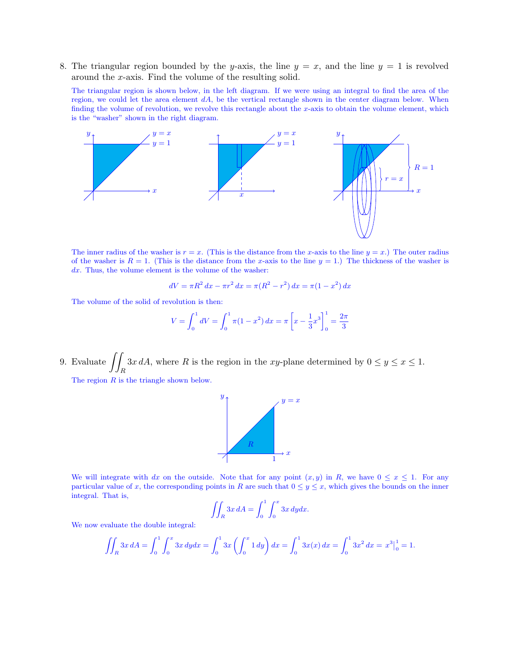8. The triangular region bounded by the y-axis, the line  $y = x$ , and the line  $y = 1$  is revolved around the x-axis. Find the volume of the resulting solid.

The triangular region is shown below, in the left diagram. If we were using an integral to find the area of the region, we could let the area element  $dA$ , be the vertical rectangle shown in the center diagram below. When finding the volume of revolution, we revolve this rectangle about the  $x$ -axis to obtain the volume element, which is the "washer" shown in the right diagram.



The inner radius of the washer is  $r = x$ . (This is the distance from the x-axis to the line  $y = x$ .) The outer radius of the washer is  $R = 1$ . (This is the distance from the x-axis to the line  $y = 1$ .) The thickness of the washer is  $dx$ . Thus, the volume element is the volume of the washer:

$$
dV = \pi R^2 dx - \pi r^2 dx = \pi (R^2 - r^2) dx = \pi (1 - x^2) dx
$$

The volume of the solid of revolution is then:

$$
V = \int_0^1 dV = \int_0^1 \pi (1 - x^2) \, dx = \pi \left[ x - \frac{1}{3} x^3 \right]_0^1 = \frac{2\pi}{3}
$$

9. Evaluate  $\int$  $\int_{R} 3x dA$ , where R is the region in the xy-plane determined by  $0 \le y \le x \le 1$ .

The region R is the triangle shown below.



We will integrate with dx on the outside. Note that for any point  $(x, y)$  in R, we have  $0 \le x \le 1$ . For any particular value of x, the corresponding points in R are such that  $0 \le y \le x$ , which gives the bounds on the inner integral. That is,

$$
\iint_R 3x \, dA = \int_0^1 \int_0^x 3x \, dy dx.
$$

We now evaluate the double integral:

$$
\iint_R 3x \, dA = \int_0^1 \int_0^x 3x \, dy \, dx = \int_0^1 3x \left( \int_0^x 1 \, dy \right) dx = \int_0^1 3x(x) \, dx = \int_0^1 3x^2 \, dx = x^3 \big|_0^1 = 1.
$$